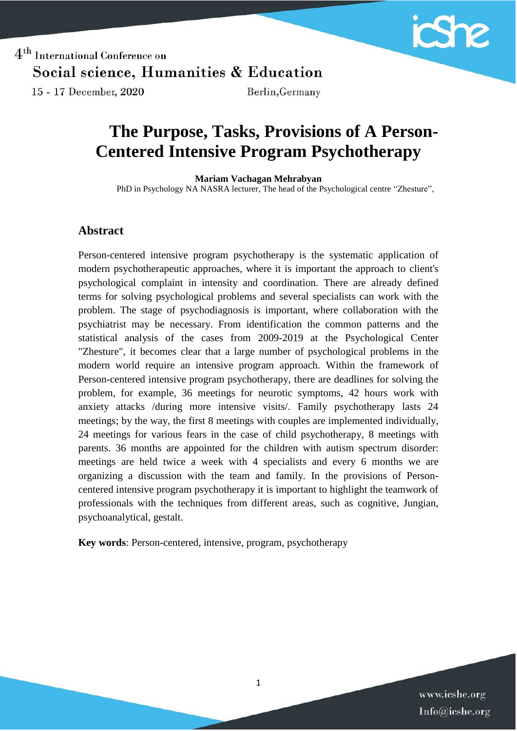

 $4<sup>th</sup>$  International Conference on Social science, Humanities & Education 15 - 17 December, 2020 Berlin, Germany

# **The Purpose, Tasks, Provisions of A Person-Centered Intensive Program Psychotherapy**

#### **Mariam Vachagan Mehrabyan**

PhD in Psychology NA NASRA lecturer, The head of the Psychological centre "Zhesture",

#### **Abstract**

Person-centered intensive program psychotherapy is the systematic application of modern psychotherapeutic approaches, where it is important the approach to client's psychological complaint in intensity and coordination. There are already defined terms for solving psychological problems and several specialists can work with the problem. The stage of psychodiagnosis is important, where collaboration with the psychiatrist may be necessary. From identification the common patterns and the statistical analysis of the cases from 2009-2019 at the Psychological Center "Zhesture", it becomes clear that a large number of psychological problems in the modern world require an intensive program approach. Within the framework of Person-centered intensive program psychotherapy, there are deadlines for solving the problem, for example, 36 meetings for neurotic symptoms, 42 hours work with anxiety attacks /during more intensive visits/. Family psychotherapy lasts 24 meetings; by the way, the first 8 meetings with couples are implemented individually, 24 meetings for various fears in the case of child psychotherapy, 8 meetings with parents. 36 months are appointed for the children with autism spectrum disorder: meetings are held twice a week with 4 specialists and every 6 months we are organizing a discussion with the team and family. In the provisions of Personcentered intensive program psychotherapy it is important to highlight the teamwork of professionals with the techniques from different areas, such as cognitive, Jungian, psychoanalytical, gestalt.

**Key words**: Person-centered, intensive, program, psychotherapy

www.icshe.org Info@icshe.org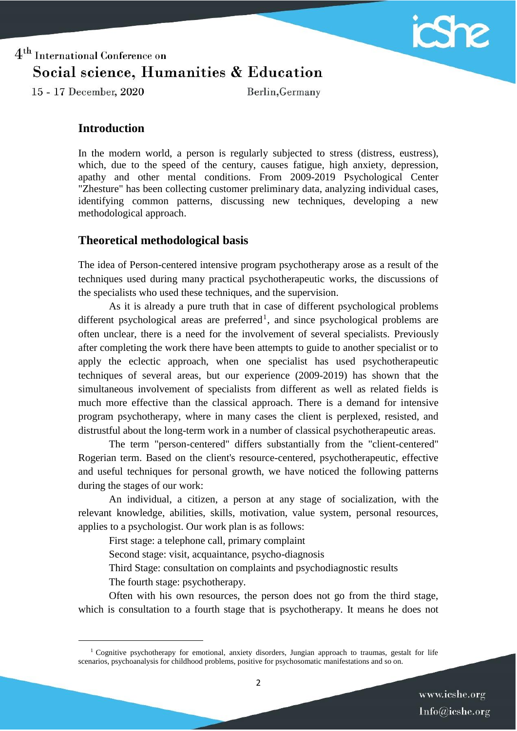

15 - 17 December, 2020

Berlin, Germany

### **Introduction**

In the modern world, a person is regularly subjected to stress (distress, eustress), which, due to the speed of the century, causes fatigue, high anxiety, depression, apathy and other mental conditions. From 2009-2019 Psychological Center "Zhesture" has been collecting customer preliminary data, analyzing individual cases, identifying common patterns, discussing new techniques, developing a new methodological approach.

### **Theoretical methodological basis**

The idea of Person-centered intensive program psychotherapy arose as a result of the techniques used during many practical psychotherapeutic works, the discussions of the specialists who used these techniques, and the supervision.

As it is already a pure truth that in case of different psychological problems different psychological areas are preferred<sup>1</sup>, and since psychological problems are often unclear, there is a need for the involvement of several specialists. Previously after completing the work there have been attempts to guide to another specialist or to apply the eclectic approach, when one specialist has used psychotherapeutic techniques of several areas, but our experience (2009-2019) has shown that the simultaneous involvement of specialists from different as well as related fields is much more effective than the classical approach. There is a demand for intensive program psychotherapy, where in many cases the client is perplexed, resisted, and distrustful about the long-term work in a number of classical psychotherapeutic areas.

The term "person-centered" differs substantially from the "client-centered" Rogerian term. Based on the client's resource-centered, psychotherapeutic, effective and useful techniques for personal growth, we have noticed the following patterns during the stages of our work:

An individual, a citizen, a person at any stage of socialization, with the relevant knowledge, abilities, skills, motivation, value system, personal resources, applies to a psychologist. Our work plan is as follows:

First stage: a telephone call, primary complaint

Second stage: visit, acquaintance, psycho-diagnosis

Third Stage: consultation on complaints and psychodiagnostic results

The fourth stage: psychotherapy.

 $\overline{\phantom{a}}$ 

Often with his own resources, the person does not go from the third stage, which is consultation to a fourth stage that is psychotherapy. It means he does not

 $1$  Cognitive psychotherapy for emotional, anxiety disorders, Jungian approach to traumas, gestalt for life scenarios, psychoanalysis for childhood problems, positive for psychosomatic manifestations and so on.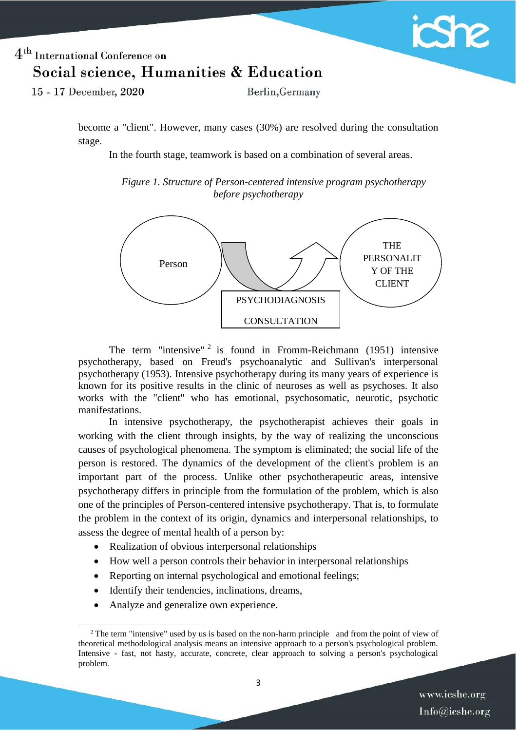

15 - 17 December, 2020

Berlin, Germany

become a "client". However, many cases (30%) are resolved during the consultation stage.

In the fourth stage, teamwork is based on a combination of several areas.

*Figure 1. Structure of Person-centered intensive program psychotherapy before psychotherapy*



The term "intensive"  $2$  is found in Fromm-Reichmann (1951) intensive psychotherapy, based on Freud's psychoanalytic and Sullivan's interpersonal psychotherapy (1953). Intensive psychotherapy during its many years of experience is known for its positive results in the clinic of neuroses as well as psychoses. It also works with the "client" who has emotional, psychosomatic, neurotic, psychotic manifestations.

In intensive psychotherapy, the psychotherapist achieves their goals in working with the client through insights, by the way of realizing the unconscious causes of psychological phenomena. The symptom is eliminated; the social life of the person is restored. The dynamics of the development of the client's problem is an important part of the process. Unlike other psychotherapeutic areas, intensive psychotherapy differs in principle from the formulation of the problem, which is also one of the principles of Person-centered intensive psychotherapy. That is, to formulate the problem in the context of its origin, dynamics and interpersonal relationships, to assess the degree of mental health of a person by:

- Realization of obvious interpersonal relationships
- How well a person controls their behavior in interpersonal relationships
- Reporting on internal psychological and emotional feelings;
- Identify their tendencies, inclinations, dreams,
- Analyze and generalize own experience.

 $\overline{\phantom{a}}$ 

<sup>&</sup>lt;sup>2</sup> The term "intensive" used by us is based on the non-harm principle and from the point of view of theoretical methodological analysis means an intensive approach to a person's psychological problem. Intensive - fast, not hasty, accurate, concrete, clear approach to solving a person's psychological problem.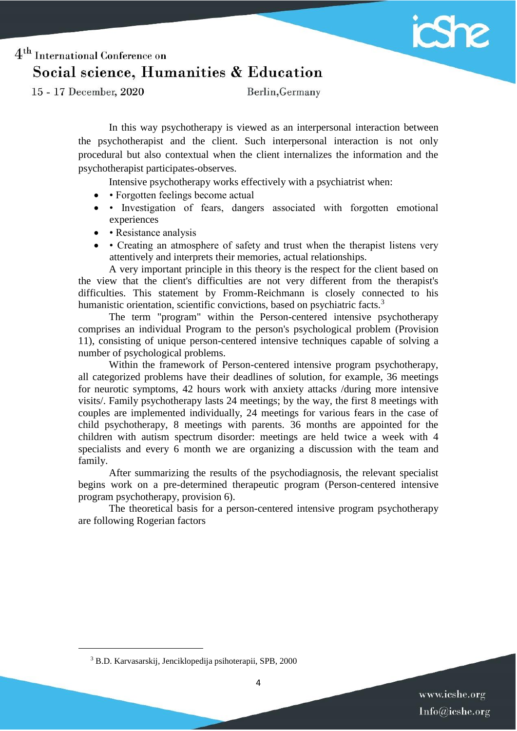

15 - 17 December, 2020

Berlin, Germany

In this way psychotherapy is viewed as an interpersonal interaction between the psychotherapist and the client. Such interpersonal interaction is not only procedural but also contextual when the client internalizes the information and the psychotherapist participates-observes.

Intensive psychotherapy works effectively with a psychiatrist when:

- • Forgotten feelings become actual
- Investigation of fears, dangers associated with forgotten emotional experiences
- Resistance analysis
- Creating an atmosphere of safety and trust when the therapist listens very attentively and interprets their memories, actual relationships.

A very important principle in this theory is the respect for the client based on the view that the client's difficulties are not very different from the therapist's difficulties. This statement by Fromm-Reichmann is closely connected to his humanistic orientation, scientific convictions, based on psychiatric facts.<sup>3</sup>

The term "program" within the Person-centered intensive psychotherapy comprises an individual Program to the person's psychological problem (Provision 11), consisting of unique person-centered intensive techniques capable of solving a number of psychological problems.

Within the framework of Person-centered intensive program psychotherapy, all categorized problems have their deadlines of solution, for example, 36 meetings for neurotic symptoms, 42 hours work with anxiety attacks /during more intensive visits/. Family psychotherapy lasts 24 meetings; by the way, the first 8 meetings with couples are implemented individually, 24 meetings for various fears in the case of child psychotherapy, 8 meetings with parents. 36 months are appointed for the children with autism spectrum disorder: meetings are held twice a week with 4 specialists and every 6 month we are organizing a discussion with the team and family.

After summarizing the results of the psychodiagnosis, the relevant specialist begins work on a pre-determined therapeutic program (Person-centered intensive program psychotherapy, provision 6).

The theoretical basis for a person-centered intensive program psychotherapy are following Rogerian factors

 $\overline{\phantom{a}}$ 

<sup>3</sup> B.D. Karvasarskij, Jenciklopedija psihoterapii, SPB, 2000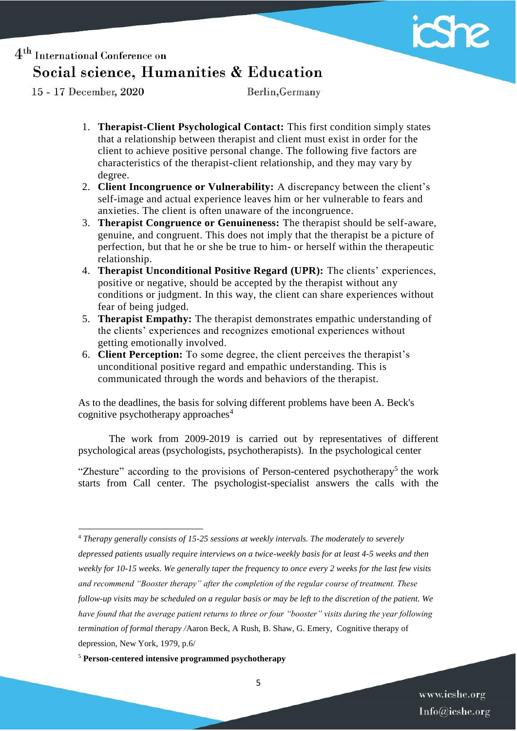

15 - 17 December, 2020

 $\overline{a}$ 

Berlin, Germany

- 1. **Therapist-Client Psychological Contact:** This first condition simply states that a relationship between therapist and client must exist in order for the client to achieve positive personal change. The following five factors are characteristics of the therapist-client relationship, and they may vary by degree.
- 2. **Client Incongruence or Vulnerability:** A discrepancy between the client's self-image and actual experience leaves him or her vulnerable to fears and anxieties. The client is often unaware of the incongruence.
- 3. **Therapist Congruence or Genuineness:** The therapist should be self-aware, genuine, and congruent. This does not imply that the therapist be a picture of perfection, but that he or she be true to him- or herself within the therapeutic relationship.
- 4. **Therapist Unconditional Positive Regard (UPR):** The clients' experiences, positive or negative, should be accepted by the therapist without any conditions or judgment. In this way, the client can share experiences without fear of being judged.
- 5. **Therapist Empathy:** The therapist demonstrates empathic understanding of the clients' experiences and recognizes emotional experiences without getting emotionally involved.
- 6. **Client Perception:** To some degree, the client perceives the therapist's unconditional positive regard and empathic understanding. This is communicated through the words and behaviors of the therapist.

As to the deadlines, the basis for solving different problems have been A. Beck's cognitive psychotherapy approaches<sup>4</sup>

The work from 2009-2019 is carried out by representatives of different psychological areas (psychologists, psychotherapists). In the psychological center

"Zhesture" according to the provisions of Person-centered psychotherapy<sup>5</sup> the work starts from Call center. The psychologist-specialist answers the calls with the

<sup>4</sup> *Therapy generally consists of 15-25 sessions at weekly intervals. The moderately to severely depressed patients usually require interviews on a twice-weekly basis for at least 4-5 weeks and then weekly for 10-15 weeks. We generally taper the frequency to once every 2 weeks for the last few visits and recommend "Booster therapy" after the completion of the regular course of treatment. These follow-up visits may be scheduled on a regular basis or may be left to the discretion of the patient. We have found that the average patient returns to three or four "booster" visits during the year following termination of formal therapy /*Aaron Beck, A Rush, B. Shaw, G. Emery, Cognitive therapy of depression, New York, 1979, p.6/

<sup>5</sup> **Person-centered intensive programmed psychotherapy**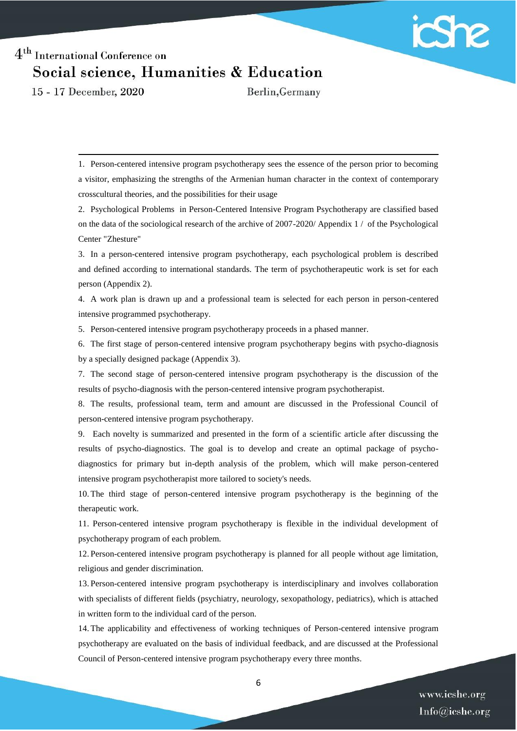

15 - 17 December, 2020

 $\overline{\phantom{a}}$ 

Berlin, Germany

1. Person-centered intensive program psychotherapy sees the essence of the person prior to becoming a visitor, emphasizing the strengths of the Armenian human character in the context of contemporary crosscultural theories, and the possibilities for their usage

2. Psychological Problems in Person-Centered Intensive Program Psychotherapy are classified based on the data of the sociological research of the archive of 2007-2020/ Appendix 1 / of the Psychological Center "Zhesture"

3. In a person-centered intensive program psychotherapy, each psychological problem is described and defined according to international standards. The term of psychotherapeutic work is set for each person (Appendix 2).

4. A work plan is drawn up and a professional team is selected for each person in person-centered intensive programmed psychotherapy.

5. Person-centered intensive program psychotherapy proceeds in a phased manner.

6. The first stage of person-centered intensive program psychotherapy begins with psycho-diagnosis by a specially designed package (Appendix 3).

7. The second stage of person-centered intensive program psychotherapy is the discussion of the results of psycho-diagnosis with the person-centered intensive program psychotherapist.

8. The results, professional team, term and amount are discussed in the Professional Council of person-centered intensive program psychotherapy.

9. Each novelty is summarized and presented in the form of a scientific article after discussing the results of psycho-diagnostics. The goal is to develop and create an optimal package of psychodiagnostics for primary but in-depth analysis of the problem, which will make person-centered intensive program psychotherapist more tailored to society's needs.

10. The third stage of person-centered intensive program psychotherapy is the beginning of the therapeutic work.

11. Person-centered intensive program psychotherapy is flexible in the individual development of psychotherapy program of each problem.

12. Person-centered intensive program psychotherapy is planned for all people without age limitation, religious and gender discrimination.

13. Person-centered intensive program psychotherapy is interdisciplinary and involves collaboration with specialists of different fields (psychiatry, neurology, sexopathology, pediatrics), which is attached in written form to the individual card of the person.

14. The applicability and effectiveness of working techniques of Person-centered intensive program psychotherapy are evaluated on the basis of individual feedback, and are discussed at the Professional Council of Person-centered intensive program psychotherapy every three months.

6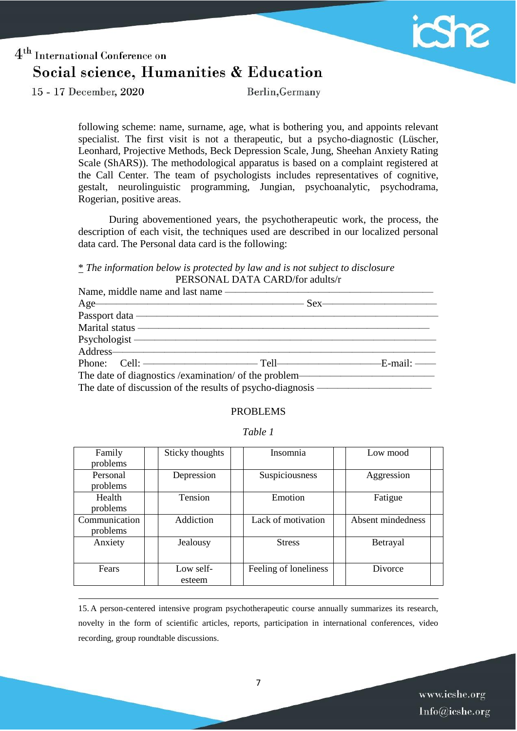

15 - 17 December, 2020

 $\overline{\phantom{a}}$ 

Berlin, Germany

following scheme: name, surname, age, what is bothering you, and appoints relevant specialist. The first visit is not a therapeutic, but a psycho-diagnostic (Lüscher, Leonhard, Projective Methods, Beck Depression Scale, Jung, Sheehan Anxiety Rating Scale (ShARS)). The methodological apparatus is based on a complaint registered at the Call Center. The team of psychologists includes representatives of cognitive, gestalt, neurolinguistic programming, Jungian, psychoanalytic, psychodrama, Rogerian, positive areas.

During abovementioned years, the psychotherapeutic work, the process, the description of each visit, the techniques used are described in our localized personal data card. The Personal data card is the following:

#### \* *The information below is protected by law and is not subject to disclosure* PERSONAL DATA CARD/for adults/r

| Name, middle name and last name —                                                                                                                                                                                                   |  |
|-------------------------------------------------------------------------------------------------------------------------------------------------------------------------------------------------------------------------------------|--|
| Age Sex                                                                                                                                                                                                                             |  |
| Passport data —                                                                                                                                                                                                                     |  |
| Marital status experiences and the material status of the status of the status of the status of the status of the status of the status of the status of the status of the status of the status of the status of the status of       |  |
|                                                                                                                                                                                                                                     |  |
| Address-                                                                                                                                                                                                                            |  |
| Phone: Cell: <u>Collision and Collision and Collision and Collision</u> and Collision and Collision and Collision and Collision and Collision and Collision and Collision and Collision and Collision and Collision and Collision a |  |
| The date of diagnostics /examination/ of the problem——                                                                                                                                                                              |  |
| The date of discussion of the results of psycho-diagnosis ——                                                                                                                                                                        |  |

#### PROBLEMS

| able |  |
|------|--|
|------|--|

| Family<br>problems        | Sticky thoughts     | Insomnia              | Low mood          |  |
|---------------------------|---------------------|-----------------------|-------------------|--|
| Personal<br>problems      | Depression          | Suspiciousness        | Aggression        |  |
| Health<br>problems        | Tension             | Emotion               | Fatigue           |  |
| Communication<br>problems | Addiction           | Lack of motivation    | Absent mindedness |  |
| Anxiety                   | Jealousy            | <b>Stress</b>         | Betrayal          |  |
| Fears                     | Low self-<br>esteem | Feeling of loneliness | Divorce           |  |

15. A person-centered intensive program psychotherapeutic course annually summarizes its research, novelty in the form of scientific articles, reports, participation in international conferences, video recording, group roundtable discussions.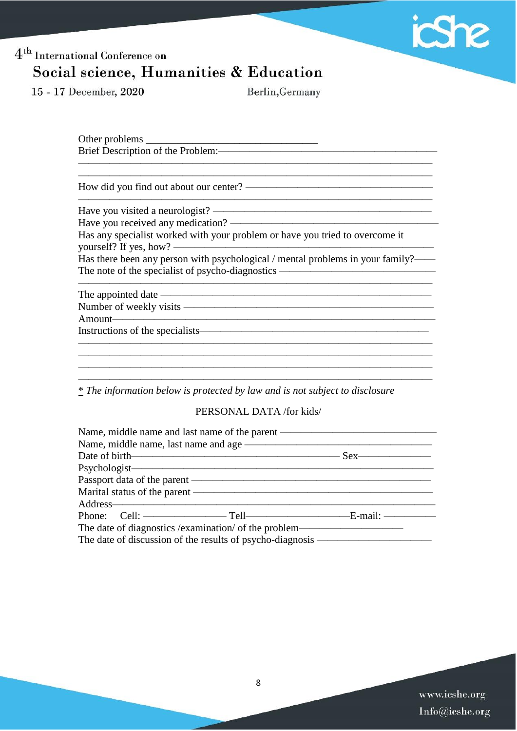

15 - 17 December, 2020

Berlin, Germany

Other problems \_\_\_\_\_\_\_\_\_\_\_\_\_\_\_\_\_\_\_\_\_\_\_\_\_\_\_\_\_\_\_\_\_ Brief Description of the Problem:

How did you find out about our center? ——————————————————

Have you visited a neurologist? —————————————————————

Have you received any medication? Has any specialist worked with your problem or have you tried to overcome it

yourself? If yes, how? —————————————————————————

Has there been any person with psychological / mental problems in your family?—— The note of the specialist of psycho-diagnostics ———————————————

 $\overline{\phantom{a}}$  , and the contract of the contract of the contract of the contract of the contract of the contract of the contract of the contract of the contract of the contract of the contract of the contract of the contrac

 $\frac{1}{\sqrt{2}}$  ,  $\frac{1}{\sqrt{2}}$  ,  $\frac{1}{\sqrt{2}}$  ,  $\frac{1}{\sqrt{2}}$  ,  $\frac{1}{\sqrt{2}}$  ,  $\frac{1}{\sqrt{2}}$  ,  $\frac{1}{\sqrt{2}}$  ,  $\frac{1}{\sqrt{2}}$  ,  $\frac{1}{\sqrt{2}}$  ,  $\frac{1}{\sqrt{2}}$  ,  $\frac{1}{\sqrt{2}}$  ,  $\frac{1}{\sqrt{2}}$  ,  $\frac{1}{\sqrt{2}}$  ,  $\frac{1}{\sqrt{2}}$  ,  $\frac{1}{\sqrt{2}}$ 

 $\frac{1}{\sqrt{2}}$  ,  $\frac{1}{\sqrt{2}}$  ,  $\frac{1}{\sqrt{2}}$  ,  $\frac{1}{\sqrt{2}}$  ,  $\frac{1}{\sqrt{2}}$  ,  $\frac{1}{\sqrt{2}}$  ,  $\frac{1}{\sqrt{2}}$  ,  $\frac{1}{\sqrt{2}}$  ,  $\frac{1}{\sqrt{2}}$  ,  $\frac{1}{\sqrt{2}}$  ,  $\frac{1}{\sqrt{2}}$  ,  $\frac{1}{\sqrt{2}}$  ,  $\frac{1}{\sqrt{2}}$  ,  $\frac{1}{\sqrt{2}}$  ,  $\frac{1}{\sqrt{2}}$ 

The appointed date ——————————————————————————

Number of weekly visits ————————————————————————

Amount———————————————————————————————

Instructions of the specialists——————————————————————

\* *The information below is protected by law and is not subject to disclosure*

PERSONAL DATA /for kids/

 $\overline{\phantom{a}}$  , and the contract of the contract of the contract of  $\overline{\phantom{a}}$ 

| Name, middle name and last name of the parent                |  |
|--------------------------------------------------------------|--|
| Name, middle name, last name and age                         |  |
|                                                              |  |
| Psychologist-                                                |  |
| Passport data of the parent —                                |  |
| Marital status of the parent —                               |  |
| Address-                                                     |  |
|                                                              |  |
|                                                              |  |
| The date of discussion of the results of psycho-diagnosis —— |  |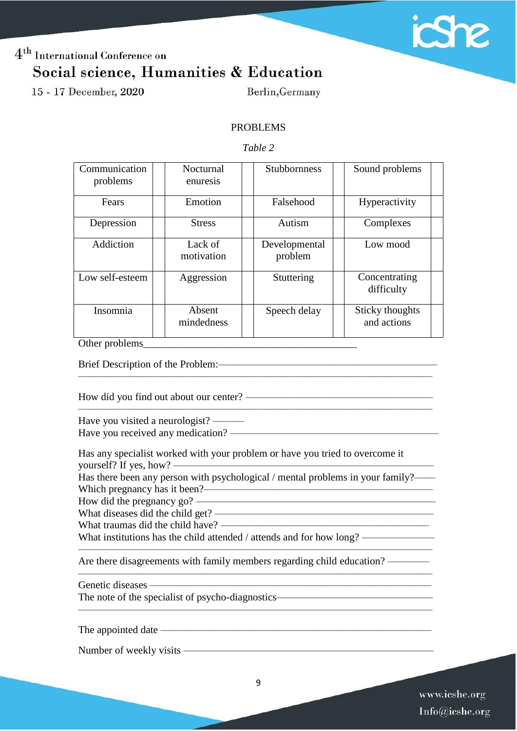

15 - 17 December, 2020

Berlin, Germany

#### PROBLEMS

#### *Table 2*

| Communication<br>problems | Nocturnal<br>enuresis | <b>Stubbornness</b>      | Sound problems                 |
|---------------------------|-----------------------|--------------------------|--------------------------------|
| Fears                     | Emotion               | Falsehood                | Hyperactivity                  |
| Depression                | <b>Stress</b>         | Autism                   | Complexes                      |
| Addiction                 | Lack of<br>motivation | Developmental<br>problem | Low mood                       |
| Low self-esteem           | Aggression            | Stuttering               | Concentrating<br>difficulty    |
| Insomnia                  | Absent<br>mindedness  | Speech delay             | Sticky thoughts<br>and actions |

Other problems

Brief Description of the Problem:

How did you find out about our center? ————————————————————

Have you visited a neurologist? —— Have you received any medication? ————————————————————

Has any specialist worked with your problem or have you tried to overcome it yourself? If yes, how?  $\equiv$ 

Has there been any person with psychological / mental problems in your family?—— Which pregnancy has it been?—————————————————————— How did the pregnancy go?

 $\frac{1}{\sqrt{2}}$  ,  $\frac{1}{\sqrt{2}}$  ,  $\frac{1}{\sqrt{2}}$  ,  $\frac{1}{\sqrt{2}}$  ,  $\frac{1}{\sqrt{2}}$  ,  $\frac{1}{\sqrt{2}}$  ,  $\frac{1}{\sqrt{2}}$  ,  $\frac{1}{\sqrt{2}}$  ,  $\frac{1}{\sqrt{2}}$  ,  $\frac{1}{\sqrt{2}}$  ,  $\frac{1}{\sqrt{2}}$  ,  $\frac{1}{\sqrt{2}}$  ,  $\frac{1}{\sqrt{2}}$  ,  $\frac{1}{\sqrt{2}}$  ,  $\frac{1}{\sqrt{2}}$ 

 $\overline{\phantom{a}}$  , and the contract of the contract of the contract of the contract of the contract of the contract of the contract of the contract of the contract of the contract of the contract of the contract of the contrac

 $\frac{1}{\sqrt{2}}$  ,  $\frac{1}{\sqrt{2}}$  ,  $\frac{1}{\sqrt{2}}$  ,  $\frac{1}{\sqrt{2}}$  ,  $\frac{1}{\sqrt{2}}$  ,  $\frac{1}{\sqrt{2}}$  ,  $\frac{1}{\sqrt{2}}$  ,  $\frac{1}{\sqrt{2}}$  ,  $\frac{1}{\sqrt{2}}$  ,  $\frac{1}{\sqrt{2}}$  ,  $\frac{1}{\sqrt{2}}$  ,  $\frac{1}{\sqrt{2}}$  ,  $\frac{1}{\sqrt{2}}$  ,  $\frac{1}{\sqrt{2}}$  ,  $\frac{1}{\sqrt{2}}$ 

 $\frac{1}{\sqrt{2}}$  ,  $\frac{1}{\sqrt{2}}$  ,  $\frac{1}{\sqrt{2}}$  ,  $\frac{1}{\sqrt{2}}$  ,  $\frac{1}{\sqrt{2}}$  ,  $\frac{1}{\sqrt{2}}$  ,  $\frac{1}{\sqrt{2}}$  ,  $\frac{1}{\sqrt{2}}$  ,  $\frac{1}{\sqrt{2}}$  ,  $\frac{1}{\sqrt{2}}$  ,  $\frac{1}{\sqrt{2}}$  ,  $\frac{1}{\sqrt{2}}$  ,  $\frac{1}{\sqrt{2}}$  ,  $\frac{1}{\sqrt{2}}$  ,  $\frac{1}{\sqrt{2}}$ 

What diseases did the child get? —————————————————————

What traumas did the child have? ————————————————————

What institutions has the child attended / attends and for how long? ————————————

Are there disagreements with family members regarding child education? —————

Genetic diseases ———————————————————————————

The note of the specialist of psycho-diagnostics————————————————————————————————

The appointed date ——————————————————————————

Number of weekly visits ————————————————————————

9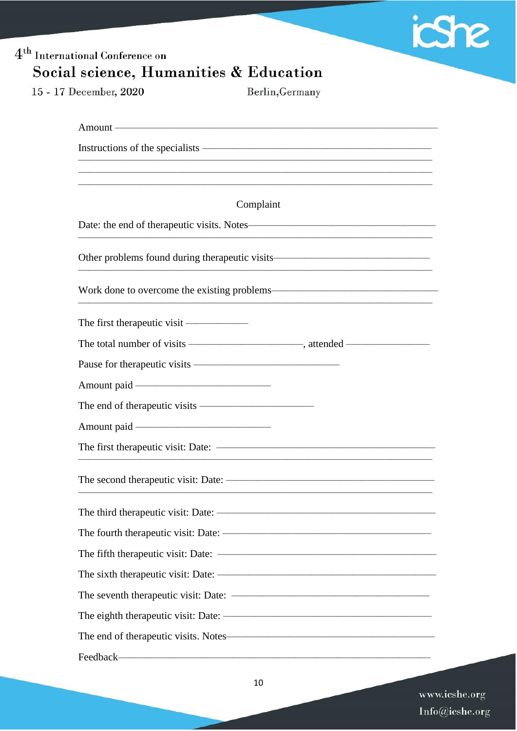

# 4<sup>th</sup> International Conference on Social science, Humanities & Education 15 - 17 December, 2020 Berlin, Germany Amount ———— Instructions of the specialists ——————————————————————  $\frac{1}{\sqrt{2}}$  ,  $\frac{1}{\sqrt{2}}$  ,  $\frac{1}{\sqrt{2}}$  ,  $\frac{1}{\sqrt{2}}$  ,  $\frac{1}{\sqrt{2}}$  ,  $\frac{1}{\sqrt{2}}$  ,  $\frac{1}{\sqrt{2}}$  ,  $\frac{1}{\sqrt{2}}$  ,  $\frac{1}{\sqrt{2}}$  ,  $\frac{1}{\sqrt{2}}$  ,  $\frac{1}{\sqrt{2}}$  ,  $\frac{1}{\sqrt{2}}$  ,  $\frac{1}{\sqrt{2}}$  ,  $\frac{1}{\sqrt{2}}$  ,  $\frac{1}{\sqrt{2}}$  $\frac{1}{\sqrt{2}}$  ,  $\frac{1}{\sqrt{2}}$  ,  $\frac{1}{\sqrt{2}}$  ,  $\frac{1}{\sqrt{2}}$  ,  $\frac{1}{\sqrt{2}}$  ,  $\frac{1}{\sqrt{2}}$  ,  $\frac{1}{\sqrt{2}}$  ,  $\frac{1}{\sqrt{2}}$  ,  $\frac{1}{\sqrt{2}}$  ,  $\frac{1}{\sqrt{2}}$  ,  $\frac{1}{\sqrt{2}}$  ,  $\frac{1}{\sqrt{2}}$  ,  $\frac{1}{\sqrt{2}}$  ,  $\frac{1}{\sqrt{2}}$  ,  $\frac{1}{\sqrt{2}}$  $\frac{1}{\sqrt{2}}$  ,  $\frac{1}{\sqrt{2}}$  ,  $\frac{1}{\sqrt{2}}$  ,  $\frac{1}{\sqrt{2}}$  ,  $\frac{1}{\sqrt{2}}$  ,  $\frac{1}{\sqrt{2}}$  ,  $\frac{1}{\sqrt{2}}$  ,  $\frac{1}{\sqrt{2}}$  ,  $\frac{1}{\sqrt{2}}$  ,  $\frac{1}{\sqrt{2}}$  ,  $\frac{1}{\sqrt{2}}$  ,  $\frac{1}{\sqrt{2}}$  ,  $\frac{1}{\sqrt{2}}$  ,  $\frac{1}{\sqrt{2}}$  ,  $\frac{1}{\sqrt{2}}$ Complaint Date: the end of therapeutic visits. Notes——————————————————  $\frac{1}{\sqrt{2}}$  ,  $\frac{1}{\sqrt{2}}$  ,  $\frac{1}{\sqrt{2}}$  ,  $\frac{1}{\sqrt{2}}$  ,  $\frac{1}{\sqrt{2}}$  ,  $\frac{1}{\sqrt{2}}$  ,  $\frac{1}{\sqrt{2}}$  ,  $\frac{1}{\sqrt{2}}$  ,  $\frac{1}{\sqrt{2}}$  ,  $\frac{1}{\sqrt{2}}$  ,  $\frac{1}{\sqrt{2}}$  ,  $\frac{1}{\sqrt{2}}$  ,  $\frac{1}{\sqrt{2}}$  ,  $\frac{1}{\sqrt{2}}$  ,  $\frac{1}{\sqrt{2}}$ Other problems found during therapeutic visits——————————————— Work done to overcome the existing problems————  $\frac{1}{\sqrt{2}}$  ,  $\frac{1}{\sqrt{2}}$  ,  $\frac{1}{\sqrt{2}}$  ,  $\frac{1}{\sqrt{2}}$  ,  $\frac{1}{\sqrt{2}}$  ,  $\frac{1}{\sqrt{2}}$  ,  $\frac{1}{\sqrt{2}}$  ,  $\frac{1}{\sqrt{2}}$  ,  $\frac{1}{\sqrt{2}}$  ,  $\frac{1}{\sqrt{2}}$  ,  $\frac{1}{\sqrt{2}}$  ,  $\frac{1}{\sqrt{2}}$  ,  $\frac{1}{\sqrt{2}}$  ,  $\frac{1}{\sqrt{2}}$  ,  $\frac{1}{\sqrt{2}}$ The first therapeutic visit —————— The total number of visits ————————————, attended — Pause for therapeutic visits —————————————— Amount paid ——————————————————— The end of therapeutic visits ———————————————————— Amount paid ———————————————————— The first therapeutic visit: Date: ————  $\frac{1}{\sqrt{2}}$  ,  $\frac{1}{\sqrt{2}}$  ,  $\frac{1}{\sqrt{2}}$  ,  $\frac{1}{\sqrt{2}}$  ,  $\frac{1}{\sqrt{2}}$  ,  $\frac{1}{\sqrt{2}}$  ,  $\frac{1}{\sqrt{2}}$  ,  $\frac{1}{\sqrt{2}}$  ,  $\frac{1}{\sqrt{2}}$  ,  $\frac{1}{\sqrt{2}}$  ,  $\frac{1}{\sqrt{2}}$  ,  $\frac{1}{\sqrt{2}}$  ,  $\frac{1}{\sqrt{2}}$  ,  $\frac{1}{\sqrt{2}}$  ,  $\frac{1}{\sqrt{2}}$ The second therapeutic visit: Date: ————————————————————  $\frac{1}{\sqrt{2}}$  ,  $\frac{1}{\sqrt{2}}$  ,  $\frac{1}{\sqrt{2}}$  ,  $\frac{1}{\sqrt{2}}$  ,  $\frac{1}{\sqrt{2}}$  ,  $\frac{1}{\sqrt{2}}$  ,  $\frac{1}{\sqrt{2}}$  ,  $\frac{1}{\sqrt{2}}$  ,  $\frac{1}{\sqrt{2}}$  ,  $\frac{1}{\sqrt{2}}$  ,  $\frac{1}{\sqrt{2}}$  ,  $\frac{1}{\sqrt{2}}$  ,  $\frac{1}{\sqrt{2}}$  ,  $\frac{1}{\sqrt{2}}$  ,  $\frac{1}{\sqrt{2}}$ The third therapeutic visit: Date: ————————————————————— The fourth therapeutic visit: Date: ———————————————————— The fifth therapeutic visit: Date: ———————————————————— The sixth therapeutic visit: Date: ————————————————————— The seventh therapeutic visit: Date:  $-$ The eighth therapeutic visit: Date: —— The end of therapeutic visits. Notes———————————————————— Feedback—

www.icshe.org  $Info@icshe.org$ 

10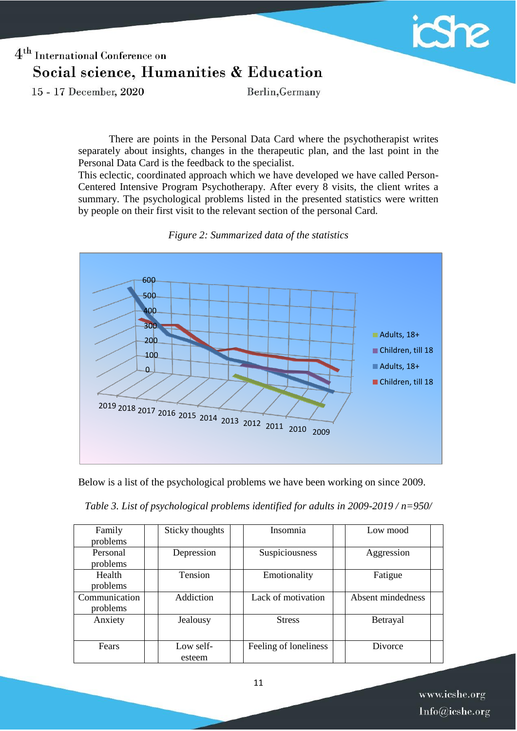

15 - 17 December, 2020

Berlin, Germany

There are points in the Personal Data Card where the psychotherapist writes separately about insights, changes in the therapeutic plan, and the last point in the Personal Data Card is the feedback to the specialist.

This eclectic, coordinated approach which we have developed we have called Person-Centered Intensive Program Psychotherapy. After every 8 visits, the client writes a summary. The psychological problems listed in the presented statistics were written by people on their first visit to the relevant section of the personal Card.



*Figure 2: Summarized data of the statistics*

Below is a list of the psychological problems we have been working on since 2009.

|  | Table 3. List of psychological problems identified for adults in $2009-2019/n=950/$ |
|--|-------------------------------------------------------------------------------------|
|  |                                                                                     |

| Family<br>problems        | Sticky thoughts     | Insomnia              | Low mood          |
|---------------------------|---------------------|-----------------------|-------------------|
| Personal<br>problems      | Depression          | Suspiciousness        | Aggression        |
| Health<br>problems        | Tension             | Emotionality          | Fatigue           |
| Communication<br>problems | Addiction           | Lack of motivation    | Absent mindedness |
| Anxiety                   | Jealousy            | <b>Stress</b>         | Betrayal          |
| Fears                     | Low self-<br>esteem | Feeling of loneliness | Divorce           |

www.icshe.org Info@icshe.org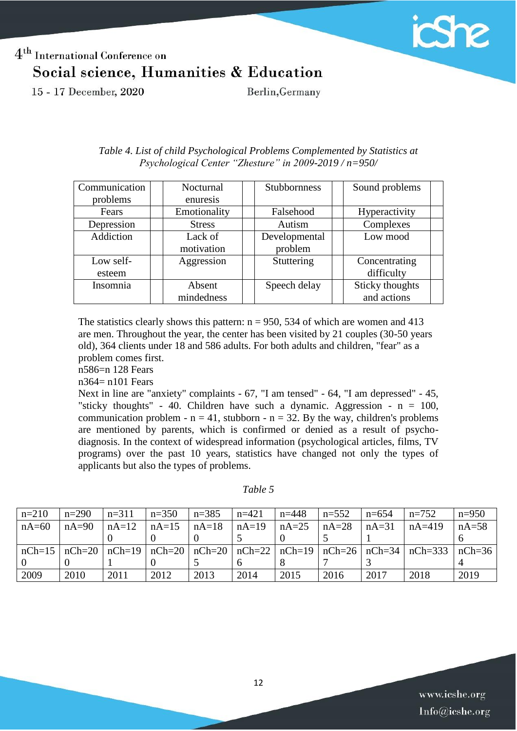

15 - 17 December, 2020

Berlin, Germany

| Communication | Nocturnal     | <b>Stubbornness</b> | Sound problems  |
|---------------|---------------|---------------------|-----------------|
| problems      | enuresis      |                     |                 |
| Fears         | Emotionality  | Falsehood           | Hyperactivity   |
| Depression    | <b>Stress</b> | Autism              | Complexes       |
| Addiction     | Lack of       | Developmental       | Low mood        |
|               | motivation    | problem             |                 |
| Low self-     | Aggression    | Stuttering          | Concentrating   |
| esteem        |               |                     | difficulty      |
| Insomnia      | Absent        | Speech delay        | Sticky thoughts |
|               | mindedness    |                     | and actions     |

*Table 4. List of child Psychological Problems Complemented by Statistics at Psychological Center "Zhesture" in 2009-2019 / n=950/*

The statistics clearly shows this pattern:  $n = 950$ , 534 of which are women and 413 are men. Throughout the year, the center has been visited by 21 couples (30-50 years old), 364 clients under 18 and 586 adults. For both adults and children, "fear" as a problem comes first.

n586=n 128 Fears

n364= n101 Fears

Next in line are "anxiety" complaints - 67, "I am tensed" - 64, "I am depressed" - 45, "sticky thoughts" - 40. Children have such a dynamic. Aggression -  $n = 100$ , communication problem -  $n = 41$ , stubborn -  $n = 32$ . By the way, children's problems are mentioned by parents, which is confirmed or denied as a result of psychodiagnosis. In the context of widespread information (psychological articles, films, TV programs) over the past 10 years, statistics have changed not only the types of applicants but also the types of problems.

*Table 5*

| $n=210$ | $n=290$ | $n=311$ | $n=350$ | $n=385$ | $n=421$ | $n=448$ | $n=552$ | $n=654$ | $n=752$                                                                                             | $n=950$ |
|---------|---------|---------|---------|---------|---------|---------|---------|---------|-----------------------------------------------------------------------------------------------------|---------|
| $nA=60$ | $nA=90$ | $nA=12$ | $nA=15$ | $nA=18$ | $nA=19$ | $nA=25$ | $nA=28$ | $nA=31$ | $nA=419$                                                                                            | $nA=58$ |
|         |         |         |         |         |         |         |         |         |                                                                                                     |         |
|         |         |         |         |         |         |         |         |         | $nCh=15$ $nCh=20$ $nCh=19$ $nCh=20$ $nCh=20$ $nCh=22$ $nCh=19$ $nCh=26$ $nCh=34$ $nCh=333$ $nCh=36$ |         |
|         |         |         |         |         |         |         |         |         |                                                                                                     |         |
| 2009    | 2010    | 2011    | 2012    | 2013    | 2014    | 2015    | 2016    | 2017    | 2018                                                                                                | 2019    |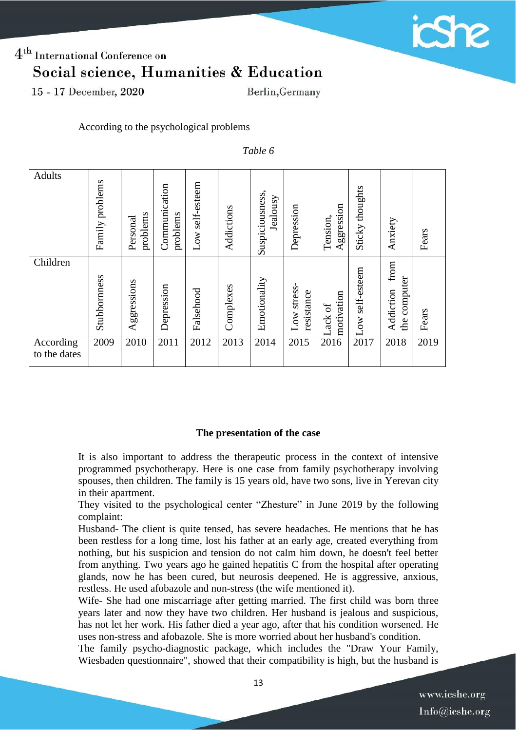

15 - 17 December, 2020

Berlin, Germany

According to the psychological problems

*Table 6*

| Adults                    | Family problems | problems<br>Personal | Communication<br>problems | self-esteem<br>Low | Addictions | Suspiciousness,<br>Jealousy | Depression                | Aggression<br>Tension, | Sticky thoughts          | Anxiety                           | Fears |
|---------------------------|-----------------|----------------------|---------------------------|--------------------|------------|-----------------------------|---------------------------|------------------------|--------------------------|-----------------------------------|-------|
| Children                  | Stubbornness    | Aggressions          | Depression                | Falsehood          | Complexes  | Emotionality                | Low stress-<br>resistance | motivation<br>ack of   | self-esteem<br><b>NO</b> | from<br>the computer<br>Addiction | Fears |
| According<br>to the dates | 2009            | 2010                 | 2011                      | 2012               | 2013       | 2014                        | 2015                      | 2016                   | 2017                     | 2018                              | 2019  |

#### **The presentation of the case**

It is also important to address the therapeutic process in the context of intensive programmed psychotherapy. Here is one case from family psychotherapy involving spouses, then children. The family is 15 years old, have two sons, live in Yerevan city in their apartment.

They visited to the psychological center "Zhesture" in June 2019 by the following complaint:

Husband- The client is quite tensed, has severe headaches. He mentions that he has been restless for a long time, lost his father at an early age, created everything from nothing, but his suspicion and tension do not calm him down, he doesn't feel better from anything. Two years ago he gained hepatitis C from the hospital after operating glands, now he has been cured, but neurosis deepened. He is aggressive, anxious, restless. He used afobazole and non-stress (the wife mentioned it).

Wife- She had one miscarriage after getting married. The first child was born three years later and now they have two children. Her husband is jealous and suspicious, has not let her work. His father died a year ago, after that his condition worsened. He uses non-stress and afobazole. She is more worried about her husband's condition.

The family psycho-diagnostic package, which includes the "Draw Your Family, Wiesbaden questionnaire", showed that their compatibility is high, but the husband is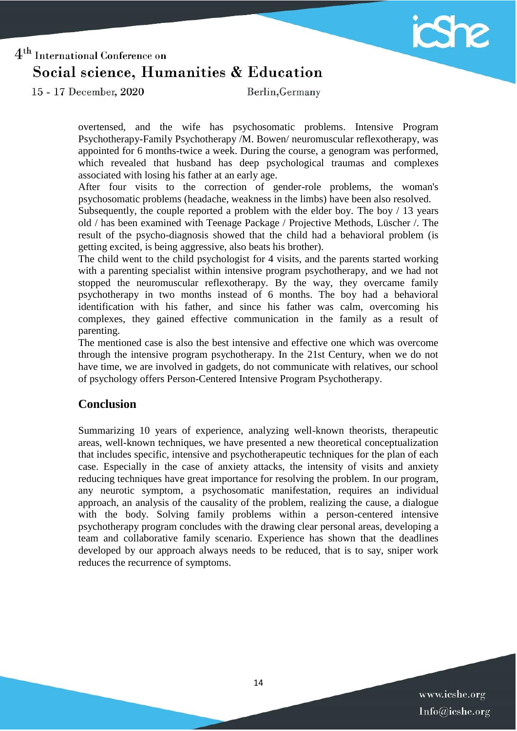

15 - 17 December, 2020

Berlin, Germany

overtensed, and the wife has psychosomatic problems. Intensive Program Psychotherapy-Family Psychotherapy /M. Bowen/ neuromuscular reflexotherapy, was appointed for 6 months-twice a week. During the course, a genogram was performed, which revealed that husband has deep psychological traumas and complexes associated with losing his father at an early age.

After four visits to the correction of gender-role problems, the woman's psychosomatic problems (headache, weakness in the limbs) have been also resolved.

Subsequently, the couple reported a problem with the elder boy. The boy / 13 years old / has been examined with Teenage Package / Projective Methods, Lüscher /. The result of the psycho-diagnosis showed that the child had a behavioral problem (is getting excited, is being aggressive, also beats his brother).

The child went to the child psychologist for 4 visits, and the parents started working with a parenting specialist within intensive program psychotherapy, and we had not stopped the neuromuscular reflexotherapy. By the way, they overcame family psychotherapy in two months instead of 6 months. The boy had a behavioral identification with his father, and since his father was calm, overcoming his complexes, they gained effective communication in the family as a result of parenting.

The mentioned case is also the best intensive and effective one which was overcome through the intensive program psychotherapy. In the 21st Century, when we do not have time, we are involved in gadgets, do not communicate with relatives, our school of psychology offers Person-Centered Intensive Program Psychotherapy.

### **Conclusion**

Summarizing 10 years of experience, analyzing well-known theorists, therapeutic areas, well-known techniques, we have presented a new theoretical conceptualization that includes specific, intensive and psychotherapeutic techniques for the plan of each case. Especially in the case of anxiety attacks, the intensity of visits and anxiety reducing techniques have great importance for resolving the problem. In our program, any neurotic symptom, a psychosomatic manifestation, requires an individual approach, an analysis of the causality of the problem, realizing the cause, a dialogue with the body. Solving family problems within a person-centered intensive psychotherapy program concludes with the drawing clear personal areas, developing a team and collaborative family scenario. Experience has shown that the deadlines developed by our approach always needs to be reduced, that is to say, sniper work reduces the recurrence of symptoms.

> www.icshe.org Info@icshe.org